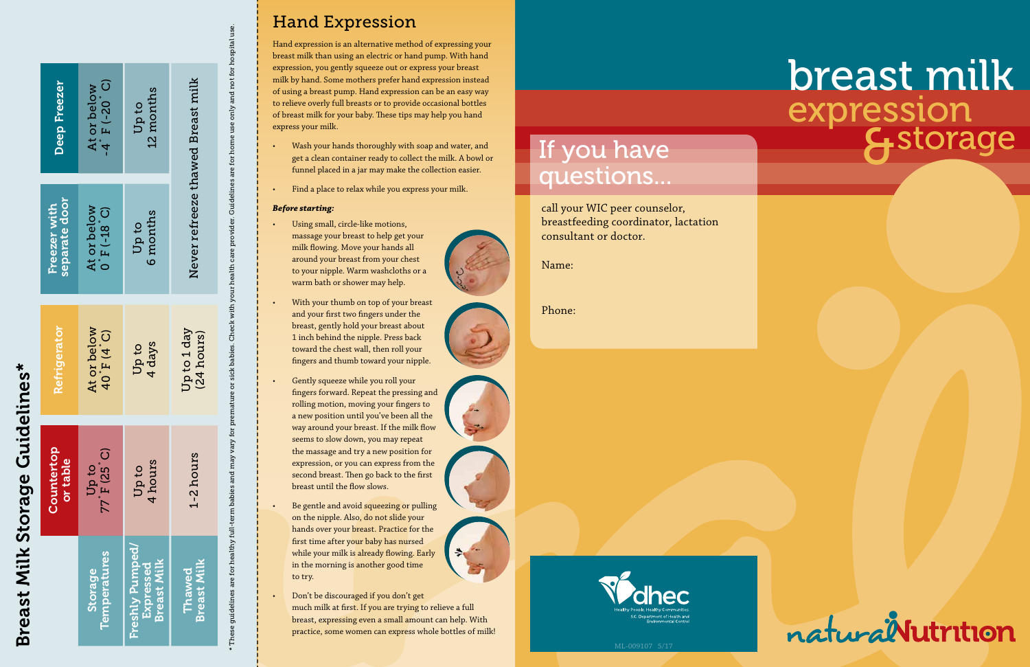# &storage breast milk<br>expression



call your WIC peer counselor, breastfeeding coordinator, lactation consultant or doctor.

Name:

Phone:



## If you have questions...

### Hand Expression

Hand expression is an alternative method of expressing your breast milk than using an electric or hand pump. With hand expression, you gently squeeze out or express your breast milk by hand. Some mothers prefer hand expression instead of using a breast pump. Hand expression can be an easy way to relieve overly full breasts or to provide occasional bottles of breast milk for your baby. These tips may help you hand express your milk.

- Wash your hands thoroughly with soap and water, and get a clean container ready to collect the milk. A bowl or funnel placed in a jar may make the collection easier.
- Find a place to relax while you express your milk.

#### *Before starting:*

\* These guidelines are for healthy full-term babies and may vary for premature or sick babies. Check with your health care provider. Guidelines are for home use only and not for hospital use

- Using small, circle-like motions, massage your breast to help get your milk flowing. Move your hands all around your breast from your chest to your nipple. Warm washcloths or a warm bath or shower may help.
- With your thumb on top of your breast and your first two fingers under the breast, gently hold your breast about 1 inch behind the nipple. Press back toward the chest wall, then roll your fingers and thumb toward your nipple.
- Gently squeeze while you roll your fingers forward. Repeat the pressing and rolling motion, moving your fingers to a new position until you've been all the way around your breast. If the milk flow seems to slow down, you may repeat the massage and try a new position for expression, or you can express from the second breast. Then go back to the first breast until the flow slows.
- Be gentle and avoid squeezing or pulling on the nipple. Also, do not slide your hands over your breast. Practice for the first time after your baby has nursed while your milk is already flowing. Early in the morning is another good time to try.
- Don't be discouraged if you don't get much milk at first. If you are trying to relieve a full breast, expressing even a small amount can help. With practice, some women can express whole bottles of milk!

These guidelines are for healthy full-term babies and may vary for premature or sick babies. Check with your health care provider. Guidelines are for home use only and not for hospital use.